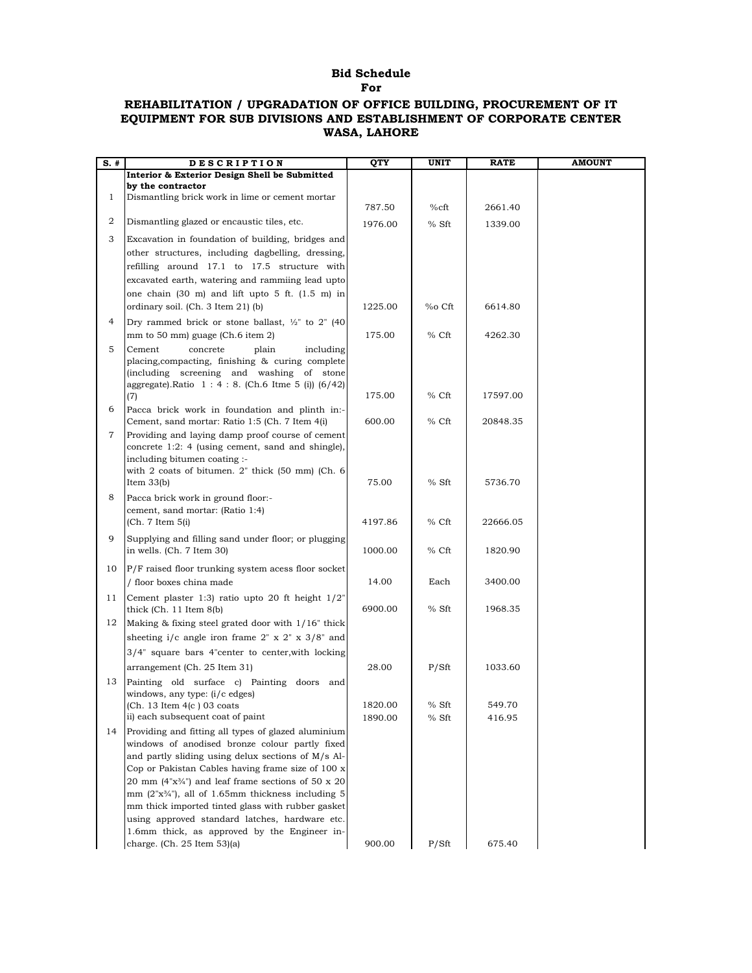## **Bid Schedule For**

## **REHABILITATION / UPGRADATION OF OFFICE BUILDING, PROCUREMENT OF IT EQUIPMENT FOR SUB DIVISIONS AND ESTABLISHMENT OF CORPORATE CENTER WASA, LAHORE**

| $S.$ #         | <b>DESCRIPTION</b>                                                                                                                                                                                                                                                                                                                                                                                                                                                                                    | QTY     | UNIT    | <b>RATE</b> | <b>AMOUNT</b> |
|----------------|-------------------------------------------------------------------------------------------------------------------------------------------------------------------------------------------------------------------------------------------------------------------------------------------------------------------------------------------------------------------------------------------------------------------------------------------------------------------------------------------------------|---------|---------|-------------|---------------|
|                | Interior & Exterior Design Shell be Submitted                                                                                                                                                                                                                                                                                                                                                                                                                                                         |         |         |             |               |
|                | by the contractor                                                                                                                                                                                                                                                                                                                                                                                                                                                                                     |         |         |             |               |
| $\mathbf{1}$   | Dismantling brick work in lime or cement mortar                                                                                                                                                                                                                                                                                                                                                                                                                                                       | 787.50  | $%$ cft | 2661.40     |               |
| $\overline{a}$ | Dismantling glazed or encaustic tiles, etc.                                                                                                                                                                                                                                                                                                                                                                                                                                                           | 1976.00 | % Sft   | 1339.00     |               |
| 3              | Excavation in foundation of building, bridges and                                                                                                                                                                                                                                                                                                                                                                                                                                                     |         |         |             |               |
|                | other structures, including dagbelling, dressing,                                                                                                                                                                                                                                                                                                                                                                                                                                                     |         |         |             |               |
|                | refilling around 17.1 to 17.5 structure with                                                                                                                                                                                                                                                                                                                                                                                                                                                          |         |         |             |               |
|                | excavated earth, watering and rammiing lead upto                                                                                                                                                                                                                                                                                                                                                                                                                                                      |         |         |             |               |
|                | one chain (30 m) and lift upto 5 ft. (1.5 m) in                                                                                                                                                                                                                                                                                                                                                                                                                                                       |         |         |             |               |
|                | ordinary soil. (Ch. 3 Item 21) (b)                                                                                                                                                                                                                                                                                                                                                                                                                                                                    | 1225.00 | %o Cft  | 6614.80     |               |
| 4              | Dry rammed brick or stone ballast, $\frac{1}{2}$ to 2" (40)                                                                                                                                                                                                                                                                                                                                                                                                                                           |         |         |             |               |
|                | mm to 50 mm) guage (Ch.6 item 2)                                                                                                                                                                                                                                                                                                                                                                                                                                                                      | 175.00  | % Cft   | 4262.30     |               |
| 5              | Cement<br>concrete<br>plain<br>including<br>placing, compacting, finishing & curing complete<br>(including screening and washing of stone<br>aggregate).Ratio 1 : 4 : 8. (Ch.6 Itme 5 (i)) (6/42)                                                                                                                                                                                                                                                                                                     |         |         |             |               |
|                | (7)                                                                                                                                                                                                                                                                                                                                                                                                                                                                                                   | 175.00  | % Cft   | 17597.00    |               |
| 6              | Pacca brick work in foundation and plinth in:-<br>Cement, sand mortar: Ratio 1:5 (Ch. 7 Item 4(i)                                                                                                                                                                                                                                                                                                                                                                                                     | 600.00  | % Cft   | 20848.35    |               |
| 7              | Providing and laying damp proof course of cement                                                                                                                                                                                                                                                                                                                                                                                                                                                      |         |         |             |               |
|                | concrete 1:2: 4 (using cement, sand and shingle),<br>including bitumen coating :-<br>with 2 coats of bitumen. 2" thick (50 mm) (Ch. 6<br>Item $33(b)$                                                                                                                                                                                                                                                                                                                                                 | 75.00   | % Sft   | 5736.70     |               |
| 8              | Pacca brick work in ground floor:-                                                                                                                                                                                                                                                                                                                                                                                                                                                                    |         |         |             |               |
|                | cement, sand mortar: (Ratio 1:4)<br>(Ch. 7 Item 5(i)                                                                                                                                                                                                                                                                                                                                                                                                                                                  | 4197.86 | % Cft   | 22666.05    |               |
| 9              | Supplying and filling sand under floor; or plugging<br>in wells. (Ch. 7 Item 30)                                                                                                                                                                                                                                                                                                                                                                                                                      | 1000.00 | % Cft   | 1820.90     |               |
| 10             | P/F raised floor trunking system acess floor socket                                                                                                                                                                                                                                                                                                                                                                                                                                                   |         |         |             |               |
|                | / floor boxes china made                                                                                                                                                                                                                                                                                                                                                                                                                                                                              | 14.00   | Each    | 3400.00     |               |
| 11             | Cement plaster 1:3) ratio upto 20 ft height $1/2$ "<br>thick $(Ch. 11$ Item $8(b)$                                                                                                                                                                                                                                                                                                                                                                                                                    | 6900.00 | % Sft   | 1968.35     |               |
| 12             | Making $&$ fixing steel grated door with $1/16$ " thick                                                                                                                                                                                                                                                                                                                                                                                                                                               |         |         |             |               |
|                | sheeting i/c angle iron frame $2'' \times 2'' \times 3/8''$ and                                                                                                                                                                                                                                                                                                                                                                                                                                       |         |         |             |               |
|                | 3/4" square bars 4"center to center, with locking                                                                                                                                                                                                                                                                                                                                                                                                                                                     |         |         |             |               |
|                | arrangement (Ch. 25 Item 31)                                                                                                                                                                                                                                                                                                                                                                                                                                                                          | 28.00   | P/Sft   | 1033.60     |               |
| 13             | Painting old surface c) Painting doors and<br>windows, any type: (i/c edges)                                                                                                                                                                                                                                                                                                                                                                                                                          |         |         |             |               |
|                | (Ch. 13 Item 4(c ) 03 coats                                                                                                                                                                                                                                                                                                                                                                                                                                                                           | 1820.00 | $%$ Sft | 549.70      |               |
|                | ii) each subsequent coat of paint                                                                                                                                                                                                                                                                                                                                                                                                                                                                     | 1890.00 | % Sft   | 416.95      |               |
| 14             | Providing and fitting all types of glazed aluminium<br>windows of anodised bronze colour partly fixed<br>and partly sliding using delux sections of M/s Al-<br>Cop or Pakistan Cables having frame size of 100 x<br>20 mm $(4"x\frac{3}{4}")$ and leaf frame sections of 50 x 20<br>mm $(2"\text{x}34")$ , all of 1.65mm thickness including 5<br>mm thick imported tinted glass with rubber gasket<br>using approved standard latches, hardware etc.<br>1.6mm thick, as approved by the Engineer in- |         |         |             |               |
|                | charge. (Ch. 25 Item 53)(a)                                                                                                                                                                                                                                                                                                                                                                                                                                                                           | 900.00  | P/Sft   | 675.40      |               |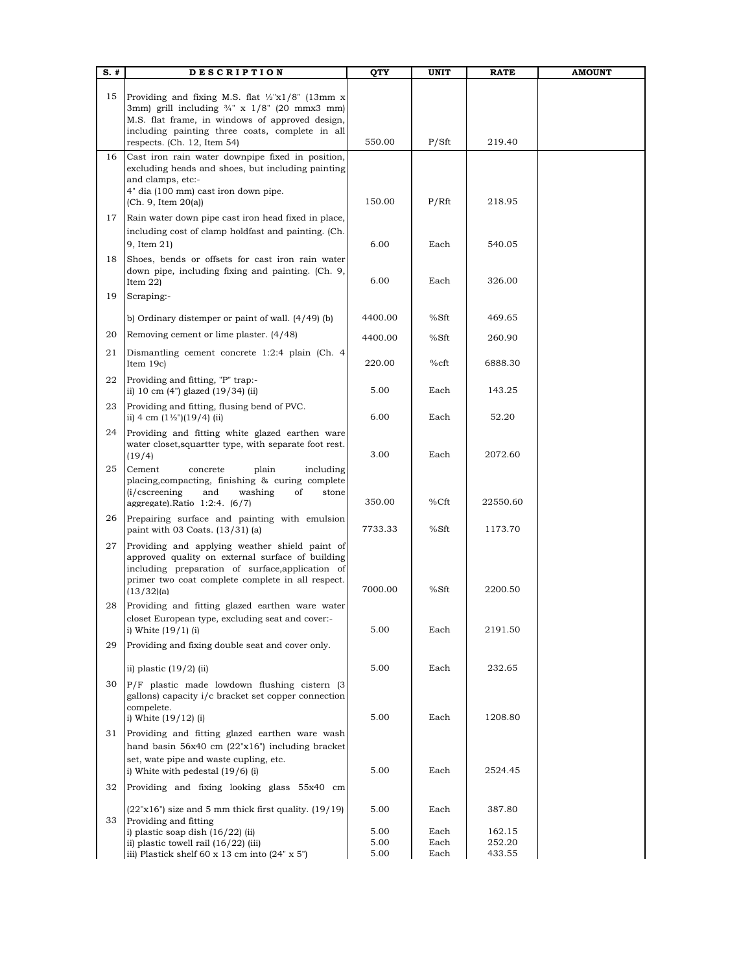| S. #     | <b>DESCRIPTION</b>                                                                                                                                                                                                            | QTY          | UNIT         | <b>RATE</b>      | <b>AMOUNT</b> |
|----------|-------------------------------------------------------------------------------------------------------------------------------------------------------------------------------------------------------------------------------|--------------|--------------|------------------|---------------|
| 15       | Providing and fixing M.S. flat $\frac{1}{2}$ "x1/8" (13mm x<br>3mm) grill including $\frac{3}{4}$ " x 1/8" (20 mmx3 mm)<br>M.S. flat frame, in windows of approved design,<br>including painting three coats, complete in all |              |              |                  |               |
|          | respects. (Ch. 12, Item 54)                                                                                                                                                                                                   | 550.00       | P/Sft        | 219.40           |               |
| 16       | Cast iron rain water downpipe fixed in position,<br>excluding heads and shoes, but including painting<br>and clamps, etc:-<br>4" dia (100 mm) cast iron down pipe.<br>(Ch. 9, Item 20(a))                                     | 150.00       | P/Rft        | 218.95           |               |
| 17       | Rain water down pipe cast iron head fixed in place,<br>including cost of clamp holdfast and painting. (Ch.<br>9, Item 21)                                                                                                     | 6.00         | Each         | 540.05           |               |
| 18<br>19 | Shoes, bends or offsets for cast iron rain water<br>down pipe, including fixing and painting. (Ch. 9,<br>Item $22$ )<br>Scraping:-                                                                                            | 6.00         | Each         | 326.00           |               |
|          | b) Ordinary distemper or paint of wall. $(4/49)$ (b)                                                                                                                                                                          | 4400.00      | %Sft         | 469.65           |               |
| 20       | Removing cement or lime plaster. (4/48)                                                                                                                                                                                       | 4400.00      | %Sft         | 260.90           |               |
| 21       | Dismantling cement concrete 1:2:4 plain (Ch. 4<br>Item 19c)                                                                                                                                                                   | 220.00       | %cft         | 6888.30          |               |
| 22       | Providing and fitting, "P" trap:-                                                                                                                                                                                             |              |              |                  |               |
| 23       | ii) 10 cm $(4")$ glazed $(19/34)$ (ii)<br>Providing and fitting, flusing bend of PVC.                                                                                                                                         | 5.00         | Each         | 143.25           |               |
| 24       | ii) 4 cm $(1\frac{1}{2})$ (19/4) (ii)<br>Providing and fitting white glazed earthen ware                                                                                                                                      | 6.00         | Each         | 52.20            |               |
| 25       | water closet, squartter type, with separate foot rest.<br>(19/4)<br>Cement<br>plain<br>including                                                                                                                              | 3.00         | Each         | 2072.60          |               |
|          | concrete<br>placing, compacting, finishing & curing complete<br>(i/cscreening)<br>and<br>washing<br>of<br>stone<br>aggregate). Ratio $1:2:4$ . $(6/7)$                                                                        | 350.00       | %Cft         | 22550.60         |               |
| 26       | Prepairing surface and painting with emulsion<br>paint with 03 Coats. (13/31) (a)                                                                                                                                             | 7733.33      | %Sft         | 1173.70          |               |
| 27       | Providing and applying weather shield paint of<br>approved quality on external surface of building<br>including preparation of surface, application of<br>primer two coat complete complete in all respect.<br>(13/32)(a)     | 7000.00      | %Sft         | 2200.50          |               |
| 28       | Providing and fitting glazed earthen ware water<br>closet European type, excluding seat and cover:-<br>i) White $(19/1)$ (i)                                                                                                  | 5.00         | Each         | 2191.50          |               |
| 29       | Providing and fixing double seat and cover only.                                                                                                                                                                              |              |              |                  |               |
|          | ii) plastic $(19/2)$ (ii)                                                                                                                                                                                                     | 5.00         | Each         | 232.65           |               |
| 30       | P/F plastic made lowdown flushing cistern (3)<br>gallons) capacity i/c bracket set copper connection<br>compelete.<br>i) White $(19/12)$ (i)                                                                                  | 5.00         | Each         | 1208.80          |               |
| 31       | Providing and fitting glazed earthen ware wash<br>hand basin $56x40$ cm $(22"x16")$ including bracket                                                                                                                         |              |              |                  |               |
|          | set, wate pipe and waste cupling, etc.<br>i) White with pedestal (19/6) (i)                                                                                                                                                   | 5.00         | Each         | 2524.45          |               |
| 32       | Providing and fixing looking glass 55x40 cm                                                                                                                                                                                   |              |              |                  |               |
| 33       | $(22"x16")$ size and 5 mm thick first quality. $(19/19)$<br>Providing and fitting                                                                                                                                             | 5.00         | Each         | 387.80           |               |
|          | i) plastic soap dish $(16/22)$ (ii)                                                                                                                                                                                           | 5.00<br>5.00 | Each         | 162.15           |               |
|          | ii) plastic towell rail $(16/22)$ (iii)<br>iii) Plastick shelf 60 x 13 cm into $(24" \times 5")$                                                                                                                              | 5.00         | Each<br>Each | 252.20<br>433.55 |               |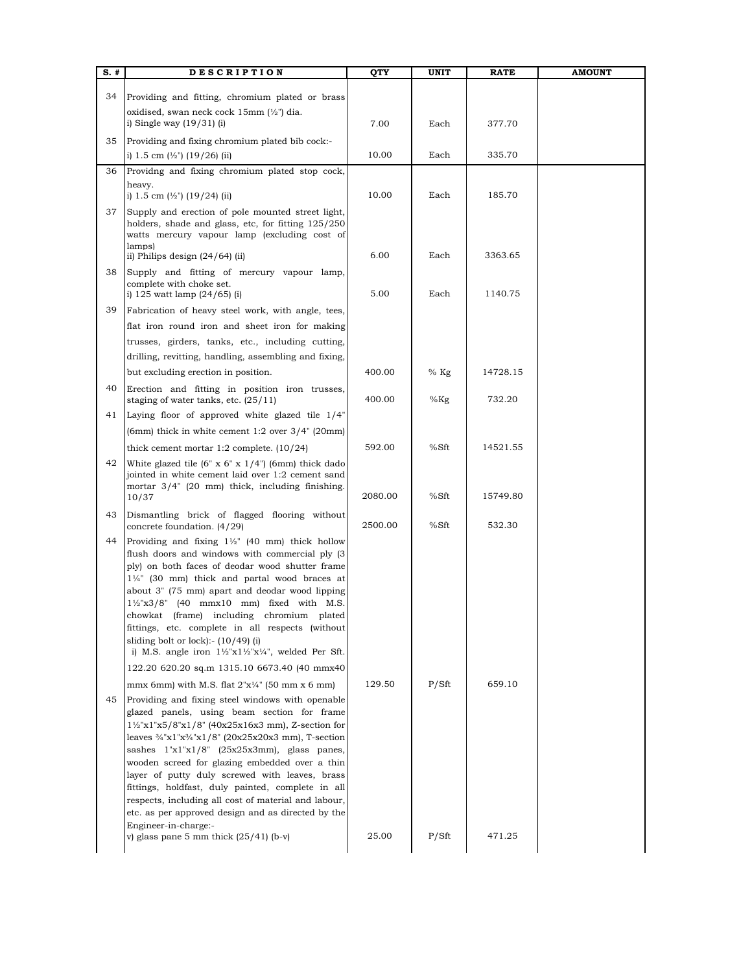| S. # | <b>DESCRIPTION</b>                                                                                                                                                                                                                                                                                                                                                                                                                                                                                                                                                                                                             | QTY     | <b>UNIT</b> | <b>RATE</b> | <b>AMOUNT</b> |
|------|--------------------------------------------------------------------------------------------------------------------------------------------------------------------------------------------------------------------------------------------------------------------------------------------------------------------------------------------------------------------------------------------------------------------------------------------------------------------------------------------------------------------------------------------------------------------------------------------------------------------------------|---------|-------------|-------------|---------------|
| 34   | Providing and fitting, chromium plated or brass                                                                                                                                                                                                                                                                                                                                                                                                                                                                                                                                                                                |         |             |             |               |
|      | oxidised, swan neck cock $15 \text{mm}$ ( $\frac{1}{2}$ ") dia.                                                                                                                                                                                                                                                                                                                                                                                                                                                                                                                                                                |         |             |             |               |
|      | i) Single way $(19/31)$ (i)                                                                                                                                                                                                                                                                                                                                                                                                                                                                                                                                                                                                    | 7.00    | Each        | 377.70      |               |
| 35   | Providing and fixing chromium plated bib cock:-<br>i) 1.5 cm $\frac{1}{2}$ (19/26) (ii)                                                                                                                                                                                                                                                                                                                                                                                                                                                                                                                                        | 10.00   | Each        | 335.70      |               |
| 36   | Providng and fixing chromium plated stop cock,                                                                                                                                                                                                                                                                                                                                                                                                                                                                                                                                                                                 |         |             |             |               |
|      | heavy.<br>i) 1.5 cm $(\frac{1}{2})$ (19/24) (ii)                                                                                                                                                                                                                                                                                                                                                                                                                                                                                                                                                                               | 10.00   | Each        | 185.70      |               |
| 37   | Supply and erection of pole mounted street light,<br>holders, shade and glass, etc, for fitting 125/250<br>watts mercury vapour lamp (excluding cost of<br>lamps)                                                                                                                                                                                                                                                                                                                                                                                                                                                              |         |             |             |               |
|      | ii) Philips design $(24/64)$ (ii)                                                                                                                                                                                                                                                                                                                                                                                                                                                                                                                                                                                              | 6.00    | Each        | 3363.65     |               |
| 38   | Supply and fitting of mercury vapour lamp,<br>complete with choke set.<br>i) $125$ watt lamp $(24/65)$ (i)                                                                                                                                                                                                                                                                                                                                                                                                                                                                                                                     | 5.00    | Each        | 1140.75     |               |
| 39   | Fabrication of heavy steel work, with angle, tees,                                                                                                                                                                                                                                                                                                                                                                                                                                                                                                                                                                             |         |             |             |               |
|      | flat iron round iron and sheet iron for making                                                                                                                                                                                                                                                                                                                                                                                                                                                                                                                                                                                 |         |             |             |               |
|      | trusses, girders, tanks, etc., including cutting,                                                                                                                                                                                                                                                                                                                                                                                                                                                                                                                                                                              |         |             |             |               |
|      | drilling, revitting, handling, assembling and fixing,                                                                                                                                                                                                                                                                                                                                                                                                                                                                                                                                                                          |         |             |             |               |
|      | but excluding erection in position.                                                                                                                                                                                                                                                                                                                                                                                                                                                                                                                                                                                            | 400.00  | $%$ Kg      | 14728.15    |               |
| 40   | Erection and fitting in position iron trusses,<br>staging of water tanks, etc. $(25/11)$                                                                                                                                                                                                                                                                                                                                                                                                                                                                                                                                       | 400.00  | $%$ Kg      | 732.20      |               |
| 41   | Laying floor of approved white glazed tile 1/4"                                                                                                                                                                                                                                                                                                                                                                                                                                                                                                                                                                                |         |             |             |               |
|      | (6mm) thick in white cement $1:2$ over $3/4$ " (20mm)                                                                                                                                                                                                                                                                                                                                                                                                                                                                                                                                                                          |         |             |             |               |
|      | thick cement mortar $1:2$ complete. $(10/24)$                                                                                                                                                                                                                                                                                                                                                                                                                                                                                                                                                                                  | 592.00  | %Sft        | 14521.55    |               |
| 42   | White glazed tile $(6'' \times 6'' \times 1/4'')$ (6mm) thick dado<br>jointed in white cement laid over 1:2 cement sand<br>mortar 3/4" (20 mm) thick, including finishing.<br>10/37                                                                                                                                                                                                                                                                                                                                                                                                                                            | 2080.00 | %Sft        | 15749.80    |               |
| 43   | Dismantling brick of flagged flooring without<br>concrete foundation. (4/29)                                                                                                                                                                                                                                                                                                                                                                                                                                                                                                                                                   | 2500.00 | %Sft        | 532.30      |               |
| 44   | Providing and fixing $1\frac{1}{2}$ " (40 mm) thick hollow<br>flush doors and windows with commercial ply (3)<br>ply) on both faces of deodar wood shutter frame<br>11/4" (30 mm) thick and partal wood braces at<br>about 3" (75 mm) apart and deodar wood lipping<br>$1\frac{1}{2}x3/8$ " (40 mmx10 mm) fixed with M.S.<br>chowkat (frame) including chromium plated<br>fittings, etc. complete in all respects (without<br>sliding bolt or lock):- $(10/49)$ (i)<br>i) M.S. angle iron $1\frac{1}{2}x1\frac{1}{2}x\frac{1}{4}$ , welded Per Sft.                                                                            |         |             |             |               |
|      | 122.20 620.20 sq.m 1315.10 6673.40 (40 mmx40)                                                                                                                                                                                                                                                                                                                                                                                                                                                                                                                                                                                  |         |             |             |               |
| 45   | mmx 6mm) with M.S. flat $2"x\frac{1}{4"}$ (50 mm x 6 mm)<br>Providing and fixing steel windows with openable<br>glazed panels, using beam section for frame<br>$1\frac{1}{2}x1'x5/8'x1/8''$ (40x25x16x3 mm), Z-section for<br>leaves $\frac{3}{4}$ "x1"x $\frac{3}{4}$ "x1/8" (20x25x20x3 mm), T-section<br>sashes 1"x1"x1/8" (25x25x3mm), glass panes,<br>wooden screed for glazing embedded over a thin<br>layer of putty duly screwed with leaves, brass<br>fittings, holdfast, duly painted, complete in all<br>respects, including all cost of material and labour,<br>etc. as per approved design and as directed by the | 129.50  | P/Sft       | 659.10      |               |
|      | Engineer-in-charge:-<br>v) glass pane 5 mm thick $(25/41)$ (b-v)                                                                                                                                                                                                                                                                                                                                                                                                                                                                                                                                                               | 25.00   | P/Sft       | 471.25      |               |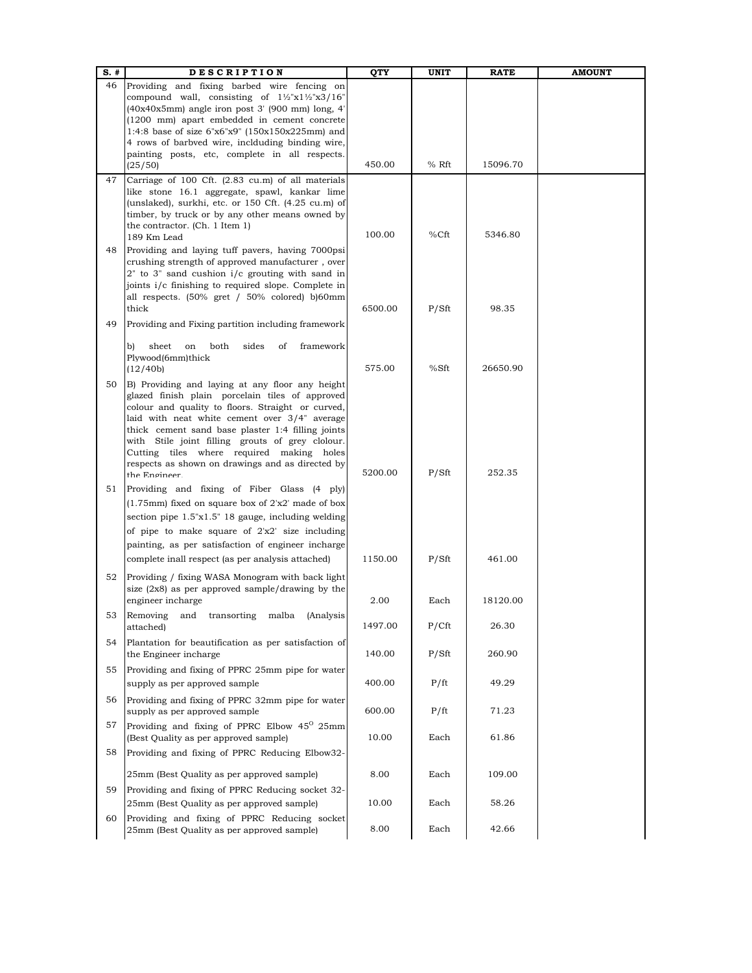| $S.$ # | <b>DESCRIPTION</b>                                                                                                  | QTY     | <b>UNIT</b> | <b>RATE</b> | <b>AMOUNT</b> |
|--------|---------------------------------------------------------------------------------------------------------------------|---------|-------------|-------------|---------------|
| 46     | Providing and fixing barbed wire fencing on                                                                         |         |             |             |               |
|        | compound wall, consisting of $1\frac{1}{2}x1\frac{1}{2}x3/16$<br>$(40x40x5mm)$ angle iron post 3' (900 mm) long, 4' |         |             |             |               |
|        | (1200 mm) apart embedded in cement concrete                                                                         |         |             |             |               |
|        | 1:4:8 base of size 6"x6"x9" (150x150x225mm) and                                                                     |         |             |             |               |
|        | 4 rows of barbved wire, inclduding binding wire,                                                                    |         |             |             |               |
|        | painting posts, etc, complete in all respects.<br>(25/50)                                                           | 450.00  | % Rft       | 15096.70    |               |
| 47     | Carriage of 100 Cft. (2.83 cu.m) of all materials                                                                   |         |             |             |               |
|        | like stone 16.1 aggregate, spawl, kankar lime                                                                       |         |             |             |               |
|        | (unslaked), surkhi, etc. or 150 Cft. (4.25 cu.m) of<br>timber, by truck or by any other means owned by              |         |             |             |               |
|        | the contractor. (Ch. 1 Item 1)                                                                                      | 100.00  | %Cft        | 5346.80     |               |
| 48     | 189 Km Lead<br>Providing and laying tuff pavers, having 7000psi                                                     |         |             |             |               |
|        | crushing strength of approved manufacturer, over<br>$2"$ to $3"$ sand cushion $i/c$ grouting with sand in           |         |             |             |               |
|        | joints i/c finishing to required slope. Complete in                                                                 |         |             |             |               |
|        | all respects. $(50\% \text{ gret } / 50\% \text{ colored})$ b) $60 \text{mm}$                                       |         |             |             |               |
|        | thick                                                                                                               | 6500.00 | P/Sft       | 98.35       |               |
| 49     | Providing and Fixing partition including framework                                                                  |         |             |             |               |
|        | sheet<br>both<br>sides<br>of<br>framework<br>on<br>b)                                                               |         |             |             |               |
|        | Plywood(6mm)thick                                                                                                   |         |             |             |               |
|        | (12/40b)                                                                                                            | 575.00  | %Sft        | 26650.90    |               |
| 50     | B) Providing and laying at any floor any height<br>glazed finish plain porcelain tiles of approved                  |         |             |             |               |
|        | colour and quality to floors. Straight or curved,                                                                   |         |             |             |               |
|        | laid with neat white cement over 3/4" average<br>thick cement sand base plaster 1:4 filling joints                  |         |             |             |               |
|        | with Stile joint filling grouts of grey clolour.                                                                    |         |             |             |               |
|        | Cutting tiles where required making holes                                                                           |         |             |             |               |
|        | respects as shown on drawings and as directed by                                                                    | 5200.00 | P/Sft       | 252.35      |               |
|        | the Engineer                                                                                                        |         |             |             |               |
| 51     | Providing and fixing of Fiber Glass (4 ply)<br>(1.75mm) fixed on square box of 2'x2' made of box                    |         |             |             |               |
|        | section pipe $1.5"x1.5"$ 18 gauge, including welding                                                                |         |             |             |               |
|        | of pipe to make square of $2'x2'$ size including                                                                    |         |             |             |               |
|        | painting, as per satisfaction of engineer incharge                                                                  |         |             |             |               |
|        | complete inall respect (as per analysis attached)                                                                   | 1150.00 | P/Sft       | 461.00      |               |
|        |                                                                                                                     |         |             |             |               |
| 52     | Providing / fixing WASA Monogram with back light<br>size $(2x8)$ as per approved sample/drawing by the              |         |             |             |               |
|        | engineer incharge                                                                                                   | 2.00    | Each        | 18120.00    |               |
| 53     | Removing and transorting malba (Analysis                                                                            |         |             |             |               |
|        | attached)                                                                                                           | 1497.00 | P/Cft       | 26.30       |               |
| 54     | Plantation for beautification as per satisfaction of<br>the Engineer incharge                                       | 140.00  | P/Sft       | 260.90      |               |
| 55     | Providing and fixing of PPRC 25mm pipe for water                                                                    |         |             |             |               |
|        | supply as per approved sample                                                                                       | 400.00  | P/ft        | 49.29       |               |
| 56     | Providing and fixing of PPRC 32mm pipe for water                                                                    |         |             |             |               |
|        | supply as per approved sample                                                                                       | 600.00  | P/ft        | 71.23       |               |
| 57     | Providing and fixing of PPRC Elbow 45 <sup>0</sup> 25mm<br>(Best Quality as per approved sample)                    | 10.00   | Each        | 61.86       |               |
| 58     | Providing and fixing of PPRC Reducing Elbow32-                                                                      |         |             |             |               |
|        | 25mm (Best Quality as per approved sample)                                                                          | 8.00    | Each        | 109.00      |               |
| 59     | Providing and fixing of PPRC Reducing socket 32-                                                                    |         |             |             |               |
|        | 25mm (Best Quality as per approved sample)                                                                          | 10.00   | Each        | 58.26       |               |
| 60     | Providing and fixing of PPRC Reducing socket                                                                        |         |             |             |               |
|        | 25mm (Best Quality as per approved sample)                                                                          | 8.00    | Each        | 42.66       |               |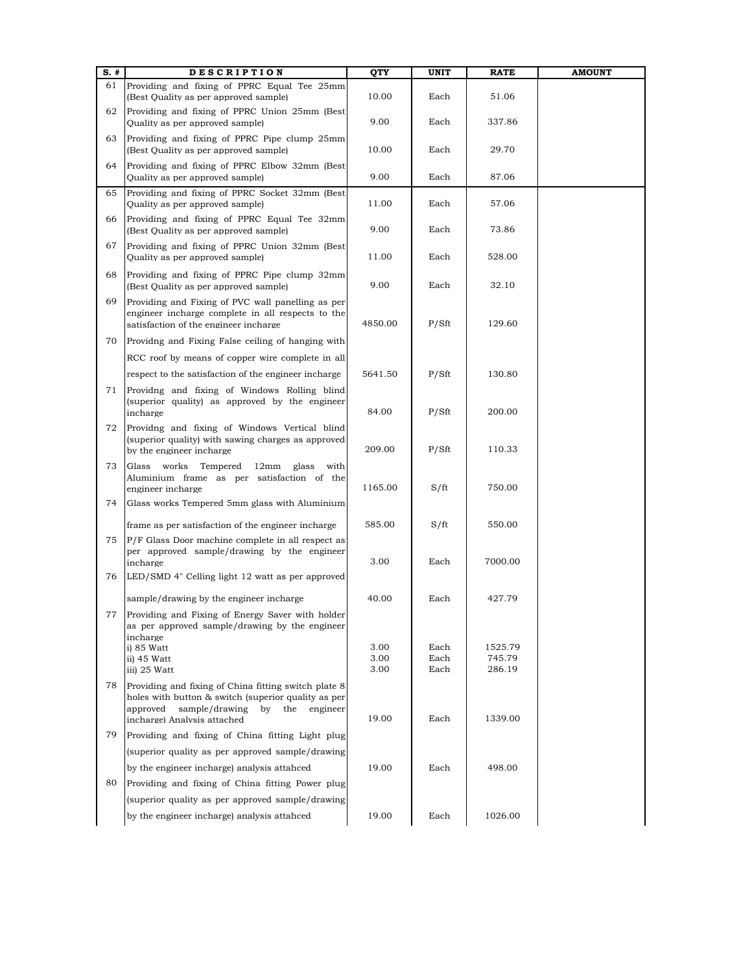| $S.$ # | <b>DESCRIPTION</b>                                                                                                                                                                    | QTY          | <b>UNIT</b>  | <b>RATE</b>      | <b>AMOUNT</b> |
|--------|---------------------------------------------------------------------------------------------------------------------------------------------------------------------------------------|--------------|--------------|------------------|---------------|
| 61     | Providing and fixing of PPRC Equal Tee 25mm<br>(Best Quality as per approved sample)                                                                                                  | 10.00        | Each         | 51.06            |               |
| 62     | Providing and fixing of PPRC Union 25mm (Best<br>Quality as per approved sample)                                                                                                      | 9.00         | Each         | 337.86           |               |
| 63     | Providing and fixing of PPRC Pipe clump 25mm<br>(Best Quality as per approved sample)                                                                                                 | 10.00        | Each         | 29.70            |               |
| 64     | Providing and fixing of PPRC Elbow 32mm (Best<br>Quality as per approved sample)                                                                                                      | 9.00         | Each         | 87.06            |               |
| 65     | Providing and fixing of PPRC Socket 32mm (Best<br>Quality as per approved sample)                                                                                                     | 11.00        | Each         | 57.06            |               |
| 66     | Providing and fixing of PPRC Equal Tee 32mm<br>(Best Quality as per approved sample)                                                                                                  | 9.00         | Each         | 73.86            |               |
| 67     | Providing and fixing of PPRC Union 32mm (Best<br>Quality as per approved sample)                                                                                                      | 11.00        | Each         | 528.00           |               |
| 68     | Providing and fixing of PPRC Pipe clump 32mm<br>(Best Quality as per approved sample)                                                                                                 | 9.00         | Each         | 32.10            |               |
| 69     | Providing and Fixing of PVC wall panelling as per<br>engineer incharge complete in all respects to the<br>satisfaction of the engineer incharge                                       | 4850.00      | P/Sft        | 129.60           |               |
| 70     | Providng and Fixing False ceiling of hanging with                                                                                                                                     |              |              |                  |               |
|        | RCC roof by means of copper wire complete in all                                                                                                                                      |              |              |                  |               |
|        | respect to the satisfaction of the engineer incharge                                                                                                                                  | 5641.50      | P/Sft        | 130.80           |               |
| 71     | Providng and fixing of Windows Rolling blind<br>(superior quality) as approved by the engineer<br>incharge                                                                            | 84.00        | P/Sft        | 200.00           |               |
| 72     | Providng and fixing of Windows Vertical blind<br>(superior quality) with sawing charges as approved<br>by the engineer incharge                                                       | 209.00       | P/Sft        | 110.33           |               |
| 73     | Glass works Tempered 12mm glass with<br>Aluminium frame as per satisfaction of the<br>engineer incharge                                                                               | 1165.00      | S/ft         | 750.00           |               |
| 74     | Glass works Tempered 5mm glass with Aluminium                                                                                                                                         |              |              |                  |               |
|        | frame as per satisfaction of the engineer incharge                                                                                                                                    | 585.00       | S/ft         | 550.00           |               |
| 75     | P/F Glass Door machine complete in all respect as<br>per approved sample/drawing by the engineer<br>incharge                                                                          | 3.00         | Each         | 7000.00          |               |
| 76     | LED/SMD 4" Celling light 12 watt as per approved                                                                                                                                      |              |              |                  |               |
|        | sample/drawing by the engineer incharge                                                                                                                                               | 40.00        | Each         | 427.79           |               |
|        | 77 Providing and Fixing of Energy Saver with holder<br>as per approved sample/drawing by the engineer<br>incharge<br>i) 85 Watt                                                       | 3.00         | Each         | 1525.79          |               |
|        | ii) 45 Watt<br>iii) 25 Watt                                                                                                                                                           | 3.00<br>3.00 | Each<br>Each | 745.79<br>286.19 |               |
| 78     | Providing and fixing of China fitting switch plate 8<br>holes with button & switch (superior quality as per<br>approved sample/drawing by the engineer<br>incharge) Analysis attached | 19.00        | Each         | 1339.00          |               |
| 79     | Providing and fixing of China fitting Light plug                                                                                                                                      |              |              |                  |               |
|        | (superior quality as per approved sample/drawing                                                                                                                                      |              |              |                  |               |
|        | by the engineer incharge) analysis attahced                                                                                                                                           | 19.00        | Each         | 498.00           |               |
| 80     | Providing and fixing of China fitting Power plug                                                                                                                                      |              |              |                  |               |
|        |                                                                                                                                                                                       |              |              |                  |               |
|        | (superior quality as per approved sample/drawing                                                                                                                                      |              |              |                  |               |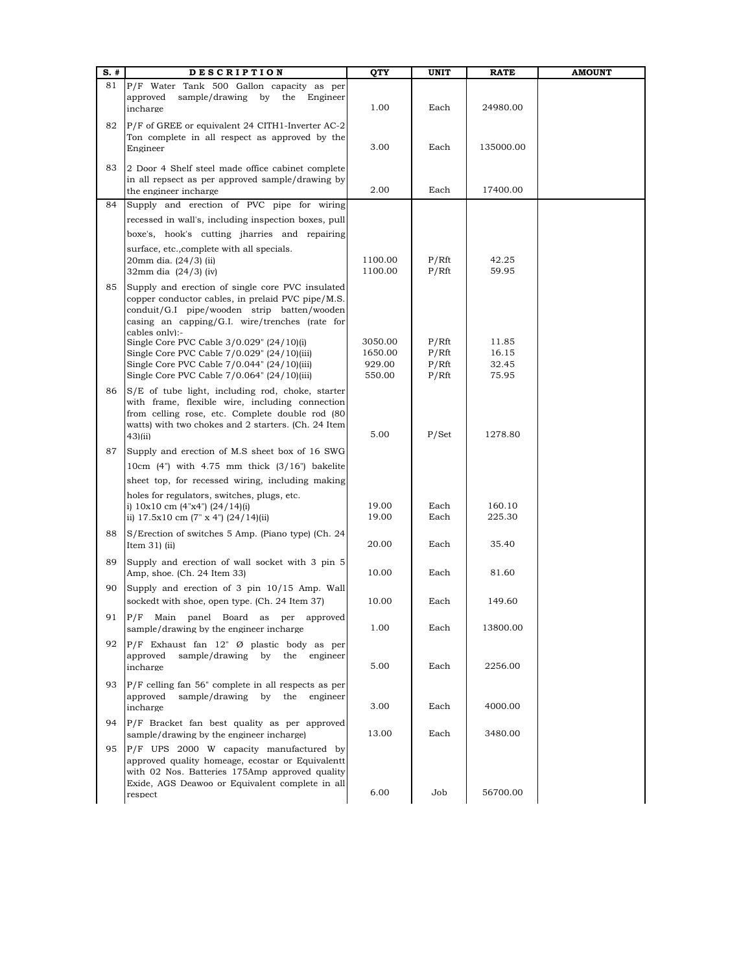| $S.$ # | <b>DESCRIPTION</b>                                                                                                                                                                                                                                                    | QTY                | <b>UNIT</b>    | <b>RATE</b>      | <b>AMOUNT</b> |
|--------|-----------------------------------------------------------------------------------------------------------------------------------------------------------------------------------------------------------------------------------------------------------------------|--------------------|----------------|------------------|---------------|
| 81     | P/F Water Tank 500 Gallon capacity as per<br>approved<br>sample/drawing by the<br>Engineer<br>incharge                                                                                                                                                                | 1.00               | Each           | 24980.00         |               |
| 82     | P/F of GREE or equivalent 24 CITH1-Inverter AC-2<br>Ton complete in all respect as approved by the<br>Engineer                                                                                                                                                        | 3.00               | Each           | 135000.00        |               |
| 83     | 2 Door 4 Shelf steel made office cabinet complete<br>in all repsect as per approved sample/drawing by<br>the engineer incharge                                                                                                                                        | 2.00               | Each           | 17400.00         |               |
| 84     | Supply and erection of PVC pipe for wiring                                                                                                                                                                                                                            |                    |                |                  |               |
|        | recessed in wall's, including inspection boxes, pull                                                                                                                                                                                                                  |                    |                |                  |               |
|        | boxe's, hook's cutting jharries and repairing<br>surface, etc., complete with all specials.<br>20mm dia. (24/3) (ii)<br>32mm dia (24/3) (iv)                                                                                                                          | 1100.00<br>1100.00 | P/Rft<br>P/Rft | 42.25<br>59.95   |               |
| 85     | Supply and erection of single core PVC insulated<br>copper conductor cables, in prelaid PVC pipe/M.S.<br>conduit/G.I pipe/wooden strip batten/wooden<br>casing an capping/G.I. wire/trenches (rate for<br>cables only):-<br>Single Core PVC Cable 3/0.029" (24/10)(i) | 3050.00            | P/Rft          | 11.85            |               |
|        | Single Core PVC Cable 7/0.029" (24/10)(iii)<br>Single Core PVC Cable $7/0.044$ " $(24/10)(iii)$                                                                                                                                                                       | 1650.00<br>929.00  | P/Rft<br>P/Rft | 16.15<br>32.45   |               |
|        | Single Core PVC Cable $7/0.064$ " $(24/10)(iii)$                                                                                                                                                                                                                      | 550.00             | P/Rft          | 75.95            |               |
| 86     | S/E of tube light, including rod, choke, starter<br>with frame, flexible wire, including connection<br>from celling rose, etc. Complete double rod (80<br>watts) with two chokes and 2 starters. (Ch. 24 Item<br>$43$ $(iii)$                                         | 5.00               | P/Set          | 1278.80          |               |
| 87     | Supply and erection of M.S sheet box of 16 SWG                                                                                                                                                                                                                        |                    |                |                  |               |
|        | $10cm$ (4") with $4.75$ mm thick $(3/16)$ bakelite                                                                                                                                                                                                                    |                    |                |                  |               |
|        | sheet top, for recessed wiring, including making                                                                                                                                                                                                                      |                    |                |                  |               |
|        | holes for regulators, switches, plugs, etc.<br>i) $10x10$ cm $(4"x4")$ $(24/14)(i)$<br>ii) $17.5x10 \text{ cm } (7 \text{ m s } 4 \text{ m})$ $(24/14)(ii)$                                                                                                           | 19.00<br>19.00     | Each<br>Each   | 160.10<br>225.30 |               |
| 88     | S/Erection of switches 5 Amp. (Piano type) (Ch. 24<br>Item $31$ ) (ii)                                                                                                                                                                                                | 20.00              | Each           | 35.40            |               |
| 89     | Supply and erection of wall socket with 3 pin 5<br>Amp, shoe. (Ch. 24 Item 33)                                                                                                                                                                                        | 10.00              | Each           | 81.60            |               |
| 90     | Supply and erection of 3 pin 10/15 Amp. Wall<br>sockedt with shoe, open type. (Ch. 24 Item 37)                                                                                                                                                                        | 10.00              | Each           | 149.60           |               |
| 91     | P/F Main panel Board as per approved<br>sample/drawing by the engineer incharge                                                                                                                                                                                       | 1.00               | Each           | 13800.00         |               |
| 92     | $P/F$ Exhaust fan 12" Ø plastic body as per<br>sample/drawing by the engineer<br>approved<br>incharge                                                                                                                                                                 | 5.00               | Each           | 2256.00          |               |
| 93     | $P/F$ celling fan 56" complete in all respects as per<br>approved<br>sample/drawing by the engineer<br>incharge                                                                                                                                                       | 3.00               | Each           | 4000.00          |               |
| 94     | P/F Bracket fan best quality as per approved<br>sample/drawing by the engineer incharge)                                                                                                                                                                              | 13.00              | Each           | 3480.00          |               |
| 95     | P/F UPS 2000 W capacity manufactured by<br>approved quality homeage, ecostar or Equivalentt<br>with 02 Nos. Batteries 175Amp approved quality<br>Exide, AGS Deawoo or Equivalent complete in all                                                                      | 6.00               | Job            |                  |               |
|        | respect                                                                                                                                                                                                                                                               |                    |                | 56700.00         |               |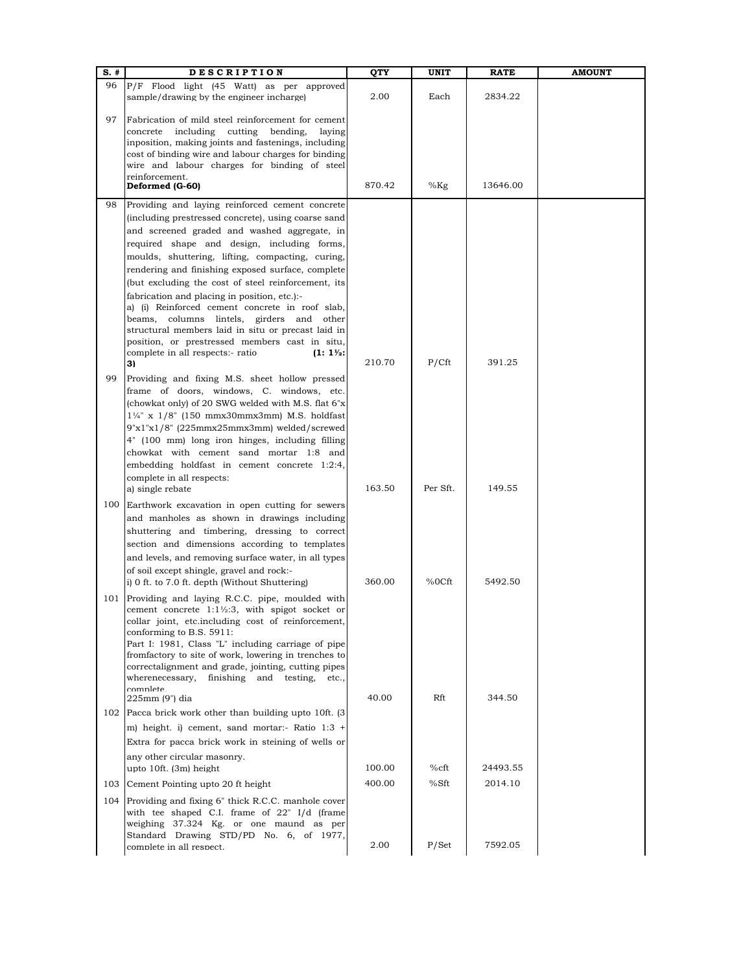| $S.$ #     | <b>DESCRIPTION</b>                                                                                                                                                                                                                                                                                                                                                                                                                                                                                                                                                                                                            | QTY    | UNIT     | <b>RATE</b> | <b>AMOUNT</b> |
|------------|-------------------------------------------------------------------------------------------------------------------------------------------------------------------------------------------------------------------------------------------------------------------------------------------------------------------------------------------------------------------------------------------------------------------------------------------------------------------------------------------------------------------------------------------------------------------------------------------------------------------------------|--------|----------|-------------|---------------|
| 96         | P/F Flood light (45 Watt) as per approved<br>sample/drawing by the engineer incharge)                                                                                                                                                                                                                                                                                                                                                                                                                                                                                                                                         | 2.00   | Each     | 2834.22     |               |
| 97         | Fabrication of mild steel reinforcement for cement<br>concrete including<br>cutting<br>bending,<br>laying<br>inposition, making joints and fastenings, including<br>cost of binding wire and labour charges for binding<br>wire and labour charges for binding of steel                                                                                                                                                                                                                                                                                                                                                       |        |          |             |               |
|            | reinforcement.<br>Deformed (G-60)                                                                                                                                                                                                                                                                                                                                                                                                                                                                                                                                                                                             | 870.42 | $%$ Kg   | 13646.00    |               |
| 98         | Providing and laying reinforced cement concrete<br>(including prestressed concrete), using coarse sand<br>and screened graded and washed aggregate, in<br>required shape and design, including forms,<br>moulds, shuttering, lifting, compacting, curing,<br>rendering and finishing exposed surface, complete<br>(but excluding the cost of steel reinforcement, its<br>fabrication and placing in position, etc.):-<br>a) (i) Reinforced cement concrete in roof slab,<br>beams, columns lintels, girders and other<br>structural members laid in situ or precast laid in<br>position, or prestressed members cast in situ, |        |          |             |               |
| 99         | complete in all respects:- ratio<br>$(1:1\frac{1}{2})$<br>3)<br>Providing and fixing M.S. sheet hollow pressed                                                                                                                                                                                                                                                                                                                                                                                                                                                                                                                | 210.70 | P/Cft    | 391.25      |               |
|            | frame of doors, windows, C. windows, etc.<br>(chowkat only) of 20 SWG welded with M.S. flat 6"x<br>$1\frac{1}{4}$ " x $1/8$ " (150 mmx30mmx3mm) M.S. holdfast<br>9"x1"x1/8" (225mmx25mmx3mm) welded/screwed<br>4" (100 mm) long iron hinges, including filling<br>chowkat with cement sand mortar 1:8 and<br>embedding holdfast in cement concrete 1:2:4,<br>complete in all respects:                                                                                                                                                                                                                                        |        |          |             |               |
| 100        | a) single rebate<br>Earthwork excavation in open cutting for sewers                                                                                                                                                                                                                                                                                                                                                                                                                                                                                                                                                           | 163.50 | Per Sft. | 149.55      |               |
|            | and manholes as shown in drawings including<br>shuttering and timbering, dressing to correct<br>section and dimensions according to templates<br>and levels, and removing surface water, in all types<br>of soil except shingle, gravel and rock:-                                                                                                                                                                                                                                                                                                                                                                            |        |          |             |               |
| 101        | i) 0 ft. to 7.0 ft. depth (Without Shuttering)<br>Providing and laying R.C.C. pipe, moulded with<br>cement concrete 1:1½:3, with spigot socket or<br>collar joint, etc.including cost of reinforcement,<br>conforming to B.S. 5911:<br>Part I: 1981, Class "L" including carriage of pipe<br>fromfactory to site of work, lowering in trenches to<br>correctalignment and grade, jointing, cutting pipes<br>wherenecessary,<br>finishing<br>and testing,<br>etc.,<br>complete                                                                                                                                                 | 360.00 | %0Cft    | 5492.50     |               |
|            | 225mm (9") dia<br>102 Pacca brick work other than building upto 10ft. (3)                                                                                                                                                                                                                                                                                                                                                                                                                                                                                                                                                     | 40.00  | Rft      | 344.50      |               |
|            | m) height. i) cement, sand mortar:- Ratio 1:3 +<br>Extra for pacca brick work in steining of wells or<br>any other circular masonry.                                                                                                                                                                                                                                                                                                                                                                                                                                                                                          |        |          |             |               |
|            | upto 10ft. (3m) height                                                                                                                                                                                                                                                                                                                                                                                                                                                                                                                                                                                                        | 100.00 | %cft     | 24493.55    |               |
| 103<br>104 | Cement Pointing upto 20 ft height<br>Providing and fixing 6" thick R.C.C. manhole cover<br>with tee shaped C.I. frame of 22" I/d (frame<br>weighing 37.324 Kg. or one maund as per<br>Standard Drawing STD/PD No. 6, of 1977,                                                                                                                                                                                                                                                                                                                                                                                                 | 400.00 | %Sft     | 2014.10     |               |
|            | complete in all respect.                                                                                                                                                                                                                                                                                                                                                                                                                                                                                                                                                                                                      | 2.00   | P/Set    | 7592.05     |               |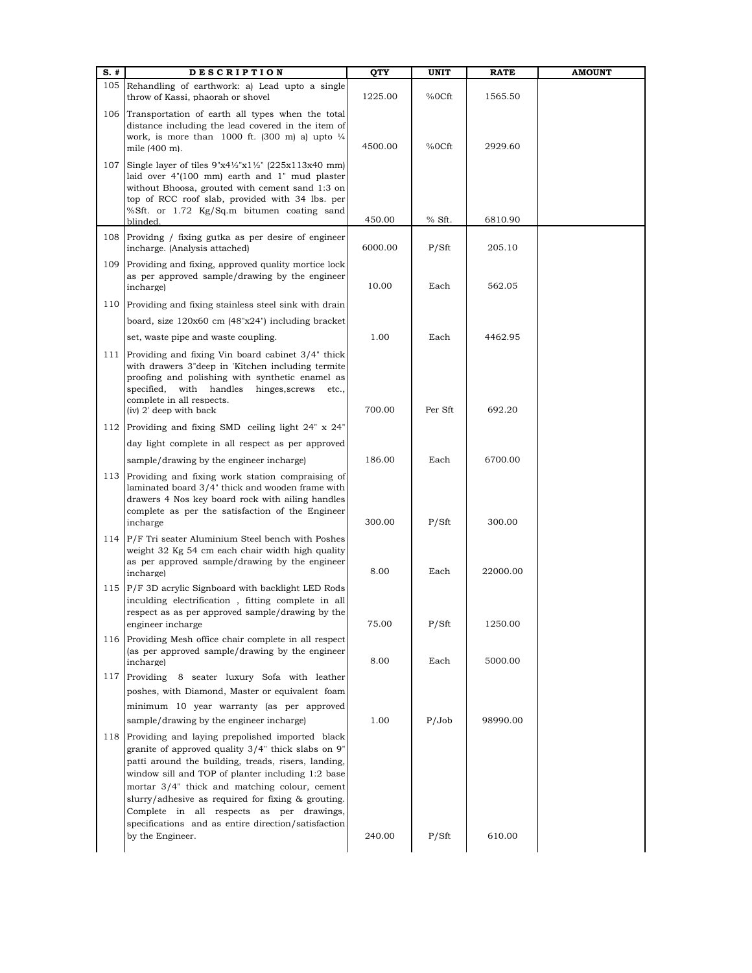| $S.$ # | <b>DESCRIPTION</b>                                                                                                                                                                                                                                                                                                                                                                                                           | QTY     | <b>UNIT</b> | <b>RATE</b> | <b>AMOUNT</b> |
|--------|------------------------------------------------------------------------------------------------------------------------------------------------------------------------------------------------------------------------------------------------------------------------------------------------------------------------------------------------------------------------------------------------------------------------------|---------|-------------|-------------|---------------|
| 105    | Rehandling of earthwork: a) Lead upto a single<br>throw of Kassi, phaorah or shovel                                                                                                                                                                                                                                                                                                                                          | 1225.00 | %0Cft       | 1565.50     |               |
| 106    | Transportation of earth all types when the total<br>distance including the lead covered in the item of<br>work, is more than 1000 ft. $(300 \text{ m})$ a) upto $\frac{1}{4}$<br>mile (400 m).                                                                                                                                                                                                                               | 4500.00 | %0Cft       | 2929.60     |               |
| 107    | Single layer of tiles $9"x4\frac{1}{2}"x1\frac{1}{2}"$ (225x113x40 mm)<br>laid over 4"(100 mm) earth and 1" mud plaster<br>without Bhoosa, grouted with cement sand 1:3 on<br>top of RCC roof slab, provided with 34 lbs. per<br>%Sft. or 1.72 Kg/Sq.m bitumen coating sand                                                                                                                                                  |         |             |             |               |
|        | blinded.                                                                                                                                                                                                                                                                                                                                                                                                                     | 450.00  | % Sft.      | 6810.90     |               |
| 108    | Providng / fixing gutka as per desire of engineer<br>incharge. (Analysis attached)                                                                                                                                                                                                                                                                                                                                           | 6000.00 | P/Sft       | 205.10      |               |
| 109    | Providing and fixing, approved quality mortice lock<br>as per approved sample/drawing by the engineer<br>incharge)                                                                                                                                                                                                                                                                                                           | 10.00   | Each        | 562.05      |               |
| 110    | Providing and fixing stainless steel sink with drain                                                                                                                                                                                                                                                                                                                                                                         |         |             |             |               |
|        | board, size 120x60 cm (48"x24") including bracket                                                                                                                                                                                                                                                                                                                                                                            |         |             |             |               |
|        | set, waste pipe and waste coupling.                                                                                                                                                                                                                                                                                                                                                                                          | 1.00    | Each        | 4462.95     |               |
| 111    | Providing and fixing Vin board cabinet 3/4" thick<br>with drawers 3"deep in 'Kitchen including termite<br>proofing and polishing with synthetic enamel as<br>specified, with handles<br>hinges, screws<br>etc.,<br>complete in all respects.<br>(iv) 2' deep with back                                                                                                                                                       | 700.00  | Per Sft     | 692.20      |               |
| 112    | Providing and fixing SMD ceiling light 24" x 24"                                                                                                                                                                                                                                                                                                                                                                             |         |             |             |               |
|        | day light complete in all respect as per approved                                                                                                                                                                                                                                                                                                                                                                            |         |             |             |               |
|        | sample/drawing by the engineer incharge)                                                                                                                                                                                                                                                                                                                                                                                     | 186.00  | Each        | 6700.00     |               |
| 113    | Providing and fixing work station compraising of<br>laminated board 3/4" thick and wooden frame with<br>drawers 4 Nos key board rock with ailing handles<br>complete as per the satisfaction of the Engineer<br>incharge                                                                                                                                                                                                     | 300.00  | P/Sft       | 300.00      |               |
|        | 114 P/F Tri seater Aluminium Steel bench with Poshes<br>weight 32 Kg 54 cm each chair width high quality<br>as per approved sample/drawing by the engineer<br>incharge)                                                                                                                                                                                                                                                      | 8.00    | Each        | 22000.00    |               |
| 115    | P/F 3D acrylic Signboard with backlight LED Rods<br>inculding electrification, fitting complete in all<br>respect as as per approved sample/drawing by the<br>engineer incharge                                                                                                                                                                                                                                              | 75.00   | P/Sft       | 1250.00     |               |
| 116    | Providing Mesh office chair complete in all respect<br>(as per approved sample/drawing by the engineer<br>incharge)                                                                                                                                                                                                                                                                                                          | 8.00    | Each        | 5000.00     |               |
| 117    | Providing 8 seater luxury Sofa with leather                                                                                                                                                                                                                                                                                                                                                                                  |         |             |             |               |
|        | poshes, with Diamond, Master or equivalent foam                                                                                                                                                                                                                                                                                                                                                                              |         |             |             |               |
|        | minimum 10 year warranty (as per approved                                                                                                                                                                                                                                                                                                                                                                                    |         |             |             |               |
|        | sample/drawing by the engineer incharge)                                                                                                                                                                                                                                                                                                                                                                                     | 1.00    | P/Job       | 98990.00    |               |
| 118    | Providing and laying prepolished imported black<br>granite of approved quality 3/4" thick slabs on 9"<br>patti around the building, treads, risers, landing,<br>window sill and TOP of planter including 1:2 base<br>mortar 3/4" thick and matching colour, cement<br>slurry/adhesive as required for fixing & grouting.<br>Complete in all respects as per drawings,<br>specifications and as entire direction/satisfaction |         |             |             |               |
|        | by the Engineer.                                                                                                                                                                                                                                                                                                                                                                                                             | 240.00  | P/Sft       | 610.00      |               |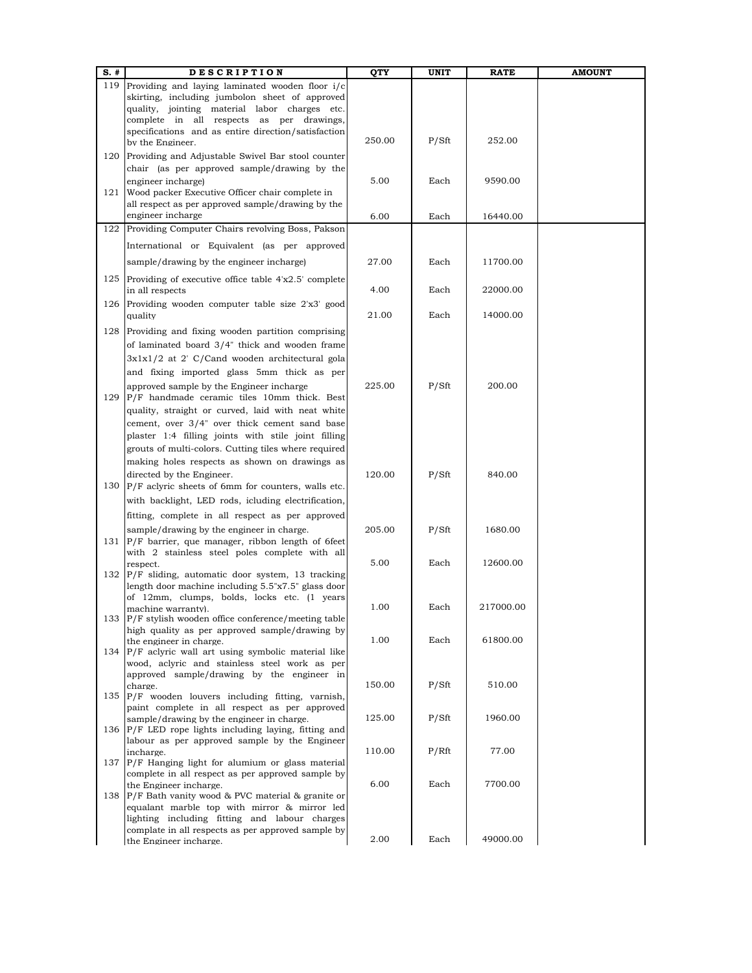| S. # | <b>DESCRIPTION</b>                                                                                       | QTY    | UNIT  | RATE      | <b>AMOUNT</b> |
|------|----------------------------------------------------------------------------------------------------------|--------|-------|-----------|---------------|
| 119  | Providing and laying laminated wooden floor i/c                                                          |        |       |           |               |
|      | skirting, including jumbolon sheet of approved                                                           |        |       |           |               |
|      | quality, jointing material labor charges etc.                                                            |        |       |           |               |
|      | complete in all respects as per drawings,                                                                |        |       |           |               |
|      | specifications and as entire direction/satisfaction<br>by the Engineer.                                  | 250.00 | P/Sft | 252.00    |               |
|      |                                                                                                          |        |       |           |               |
|      | 120 Providing and Adjustable Swivel Bar stool counter                                                    |        |       |           |               |
|      | chair (as per approved sample/drawing by the                                                             |        |       |           |               |
|      | engineer incharge)                                                                                       | 5.00   | Each  | 9590.00   |               |
| 121  | Wood packer Executive Officer chair complete in<br>all respect as per approved sample/drawing by the     |        |       |           |               |
|      | engineer incharge                                                                                        | 6.00   | Each  | 16440.00  |               |
|      | 122 Providing Computer Chairs revolving Boss, Pakson                                                     |        |       |           |               |
|      | International or Equivalent (as per approved                                                             |        |       |           |               |
|      |                                                                                                          |        |       |           |               |
|      | sample/drawing by the engineer incharge)                                                                 | 27.00  | Each  | 11700.00  |               |
|      | 125 Providing of executive office table 4'x2.5' complete                                                 |        |       |           |               |
|      | in all respects                                                                                          | 4.00   | Each  | 22000.00  |               |
|      | 126 Providing wooden computer table size 2'x3' good                                                      |        |       |           |               |
|      | quality                                                                                                  | 21.00  | Each  | 14000.00  |               |
| 128  | Providing and fixing wooden partition comprising                                                         |        |       |           |               |
|      | of laminated board 3/4" thick and wooden frame                                                           |        |       |           |               |
|      | 3x1x1/2 at 2' C/Cand wooden architectural gola                                                           |        |       |           |               |
|      | and fixing imported glass 5mm thick as per                                                               |        |       |           |               |
|      | approved sample by the Engineer incharge                                                                 | 225.00 | P/Sft | 200.00    |               |
| 129  | P/F handmade ceramic tiles 10mm thick. Best                                                              |        |       |           |               |
|      | quality, straight or curved, laid with neat white                                                        |        |       |           |               |
|      | cement, over 3/4" over thick cement sand base                                                            |        |       |           |               |
|      | plaster 1:4 filling joints with stile joint filling                                                      |        |       |           |               |
|      | grouts of multi-colors. Cutting tiles where required                                                     |        |       |           |               |
|      | making holes respects as shown on drawings as                                                            |        |       |           |               |
|      | directed by the Engineer.                                                                                | 120.00 | P/Sft | 840.00    |               |
|      | 130 P/F aclyric sheets of 6mm for counters, walls etc.                                                   |        |       |           |               |
|      | with backlight, LED rods, icluding electrification,                                                      |        |       |           |               |
|      | fitting, complete in all respect as per approved                                                         |        |       |           |               |
|      | sample/drawing by the engineer in charge.                                                                | 205.00 | P/Sft | 1680.00   |               |
|      | 131  P/F barrier, que manager, ribbon length of 6feet                                                    |        |       |           |               |
|      | with 2 stainless steel poles complete with all                                                           |        |       |           |               |
|      | respect.                                                                                                 | 5.00   | Each  | 12600.00  |               |
|      | 132 P/F sliding, automatic door system, 13 tracking                                                      |        |       |           |               |
|      | length door machine including 5.5"x7.5" glass door                                                       |        |       |           |               |
|      | of 12mm, clumps, bolds, locks etc. (1 years                                                              | 1.00   | Each  | 217000.00 |               |
| 133  | machine warranty).<br>P/F stylish wooden office conference/meeting table                                 |        |       |           |               |
|      | high quality as per approved sample/drawing by                                                           |        |       |           |               |
|      | the engineer in charge.                                                                                  | 1.00   | Each  | 61800.00  |               |
|      | 134 P/F aclyric wall art using symbolic material like                                                    |        |       |           |               |
|      | wood, aclyric and stainless steel work as per                                                            |        |       |           |               |
|      | approved sample/drawing by the engineer in                                                               | 150.00 | P/Sft | 510.00    |               |
|      | charge.<br>135 P/F wooden louvers including fitting, varnish,                                            |        |       |           |               |
|      | paint complete in all respect as per approved                                                            |        |       |           |               |
|      | sample/drawing by the engineer in charge.                                                                | 125.00 | P/Sft | 1960.00   |               |
|      | 136 P/F LED rope lights including laying, fitting and                                                    |        |       |           |               |
|      | labour as per approved sample by the Engineer                                                            |        |       |           |               |
|      | incharge.                                                                                                | 110.00 | P/Rft | 77.00     |               |
|      | 137 P/F Hanging light for alumium or glass material<br>complete in all respect as per approved sample by |        |       |           |               |
|      | the Engineer incharge.                                                                                   | 6.00   | Each  | 7700.00   |               |
|      | 138 P/F Bath vanity wood & PVC material & granite or                                                     |        |       |           |               |
|      | equalant marble top with mirror & mirror led                                                             |        |       |           |               |
|      | lighting including fitting and labour charges                                                            |        |       |           |               |
|      | complate in all respects as per approved sample by                                                       |        |       |           |               |
|      | the Engineer incharge.                                                                                   | 2.00   | Each  | 49000.00  |               |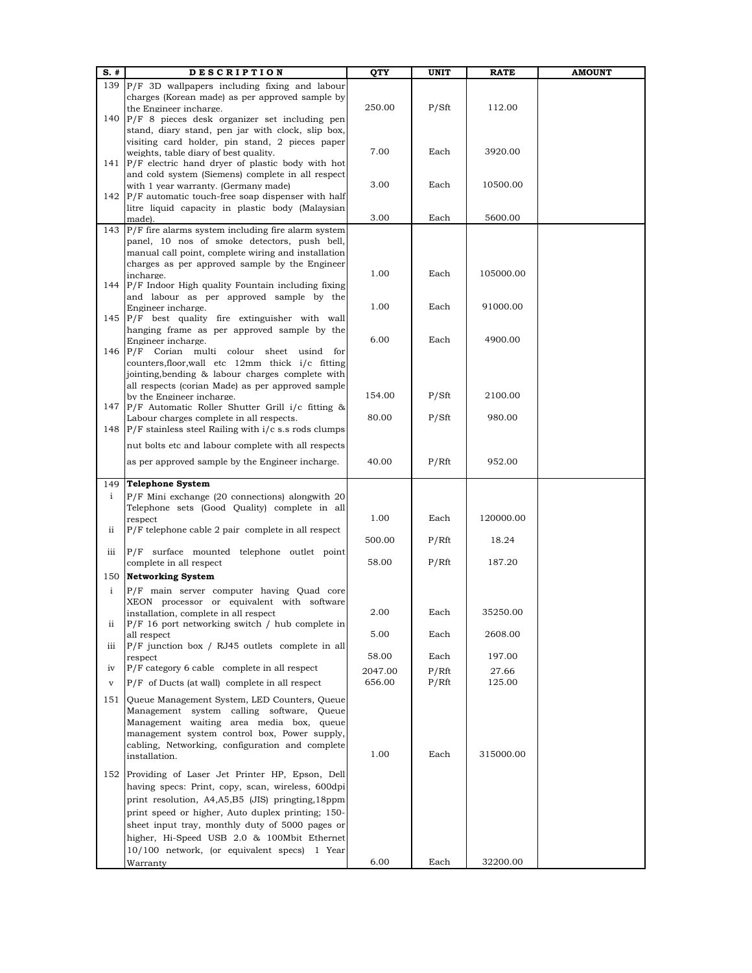| $S.$ #       | <b>DESCRIPTION</b>                                                                              | QTY     | UNIT  | <b>RATE</b> | <b>AMOUNT</b> |
|--------------|-------------------------------------------------------------------------------------------------|---------|-------|-------------|---------------|
|              | 139  P/F 3D wallpapers including fixing and labour                                              |         |       |             |               |
|              | charges (Korean made) as per approved sample by                                                 |         |       |             |               |
|              | the Engineer incharge.                                                                          | 250.00  | P/Sft | 112.00      |               |
|              | 140 P/F 8 pieces desk organizer set including pen                                               |         |       |             |               |
|              | stand, diary stand, pen jar with clock, slip box,                                               |         |       |             |               |
|              | visiting card holder, pin stand, 2 pieces paper                                                 |         |       |             |               |
|              | weights, table diary of best quality.                                                           | 7.00    | Each  | 3920.00     |               |
|              | 141 $\vert$ P/F electric hand dryer of plastic body with hot                                    |         |       |             |               |
|              | and cold system (Siemens) complete in all respect<br>with 1 year warranty. (Germany made)       | 3.00    | Each  | 10500.00    |               |
|              | 142 $\vert$ P/F automatic touch-free soap dispenser with half                                   |         |       |             |               |
|              | litre liquid capacity in plastic body (Malaysian                                                |         |       |             |               |
|              | made).                                                                                          | 3.00    | Each  | 5600.00     |               |
|              | 143 $P/F$ fire alarms system including fire alarm system                                        |         |       |             |               |
|              | panel, 10 nos of smoke detectors, push bell,                                                    |         |       |             |               |
|              | manual call point, complete wiring and installation                                             |         |       |             |               |
|              | charges as per approved sample by the Engineer                                                  |         |       |             |               |
|              | incharge.                                                                                       | 1.00    | Each  | 105000.00   |               |
|              | 144 $\vert$ P/F Indoor High quality Fountain including fixing                                   |         |       |             |               |
|              | and labour as per approved sample by the                                                        |         |       |             |               |
|              | Engineer incharge.                                                                              | 1.00    | Each  | 91000.00    |               |
|              | 145 P/F best quality fire extinguisher with wall                                                |         |       |             |               |
|              | hanging frame as per approved sample by the                                                     |         |       |             |               |
|              | Engineer incharge.                                                                              | 6.00    | Each  | 4900.00     |               |
|              | 146 P/F Corian multi colour sheet usind for<br>counters, floor, wall etc 12mm thick i/c fitting |         |       |             |               |
|              | jointing, bending & labour charges complete with                                                |         |       |             |               |
|              | all respects (corian Made) as per approved sample                                               |         |       |             |               |
|              | by the Engineer incharge.                                                                       | 154.00  | P/Sft | 2100.00     |               |
|              | 147 P/F Automatic Roller Shutter Grill i/c fitting &                                            |         |       |             |               |
|              | Labour charges complete in all respects.                                                        | 80.00   | P/Sft | 980.00      |               |
|              | 148 $\vert$ P/F stainless steel Railing with $i/c$ s.s rods clumps                              |         |       |             |               |
|              | nut bolts etc and labour complete with all respects                                             |         |       |             |               |
|              |                                                                                                 |         |       |             |               |
|              | as per approved sample by the Engineer incharge.                                                | 40.00   | P/Rft | 952.00      |               |
|              |                                                                                                 |         |       |             |               |
| 149          | <b>Telephone System</b>                                                                         |         |       |             |               |
| $\mathbf{i}$ | $P/F$ Mini exchange (20 connections) alongwith 20                                               |         |       |             |               |
|              | Telephone sets (Good Quality) complete in all                                                   | 1.00    | Each  | 120000.00   |               |
| ii           | respect<br>P/F telephone cable 2 pair complete in all respect                                   |         |       |             |               |
|              |                                                                                                 | 500.00  | P/Rft | 18.24       |               |
| iii          | P/F surface mounted telephone outlet point                                                      |         |       |             |               |
|              | complete in all respect                                                                         | 58.00   | P/Rft | 187.20      |               |
| 150          | <b>Networking System</b>                                                                        |         |       |             |               |
|              |                                                                                                 |         |       |             |               |
| $\mathbf{i}$ | P/F main server computer having Quad core                                                       |         |       |             |               |
|              | XEON processor or equivalent with software<br>installation, complete in all respect             | 2.00    | Each  | 35250.00    |               |
| ii           | $P/F$ 16 port networking switch / hub complete in                                               |         |       |             |               |
|              | all respect                                                                                     | 5.00    | Each  | 2608.00     |               |
| iii          | $P/F$ junction box / RJ45 outlets complete in all                                               |         |       |             |               |
|              | respect                                                                                         | 58.00   | Each  | 197.00      |               |
| iv           | P/F category 6 cable complete in all respect                                                    | 2047.00 | P/Rft | 27.66       |               |
| $\mathbf{V}$ | $P/F$ of Ducts (at wall) complete in all respect                                                | 656.00  | P/Rft | 125.00      |               |
|              |                                                                                                 |         |       |             |               |
| 151          | Queue Management System, LED Counters, Queue                                                    |         |       |             |               |
|              | Management system calling software, Queue                                                       |         |       |             |               |
|              | Management waiting area media box, queue                                                        |         |       |             |               |
|              | management system control box, Power supply,                                                    |         |       |             |               |
|              | cabling, Networking, configuration and complete<br>installation.                                | 1.00    | Each  | 315000.00   |               |
|              |                                                                                                 |         |       |             |               |
|              | 152 Providing of Laser Jet Printer HP, Epson, Dell                                              |         |       |             |               |
|              | having specs: Print, copy, scan, wireless, 600dpi                                               |         |       |             |               |
|              | print resolution, A4,A5,B5 (JIS) pringting,18ppm                                                |         |       |             |               |
|              | print speed or higher, Auto duplex printing; 150-                                               |         |       |             |               |
|              | sheet input tray, monthly duty of 5000 pages or                                                 |         |       |             |               |
|              | higher, Hi-Speed USB 2.0 & 100Mbit Ethernet                                                     |         |       |             |               |
|              | 10/100 network, (or equivalent specs) 1 Year                                                    |         |       |             |               |
|              |                                                                                                 | 6.00    | Each  | 32200.00    |               |
|              | Warranty                                                                                        |         |       |             |               |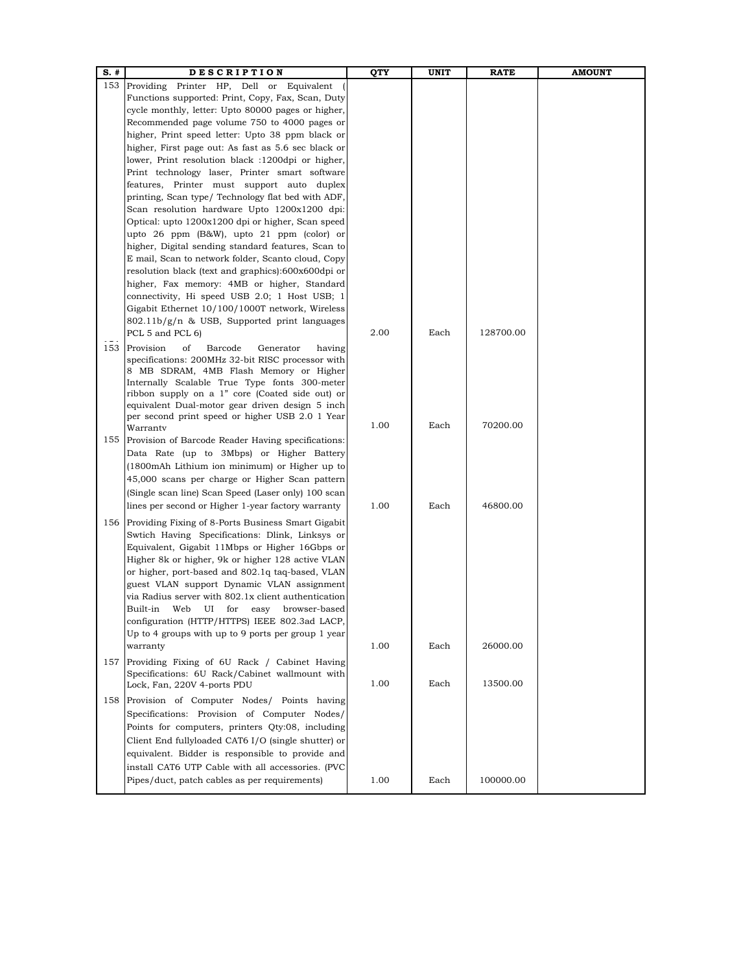| $S.$ # | <b>DESCRIPTION</b>                                                                                         | QTY  | <b>UNIT</b> | <b>RATE</b> | <b>AMOUNT</b> |
|--------|------------------------------------------------------------------------------------------------------------|------|-------------|-------------|---------------|
|        | 153 Providing Printer HP, Dell or Equivalent                                                               |      |             |             |               |
|        | Functions supported: Print, Copy, Fax, Scan, Duty                                                          |      |             |             |               |
|        | cycle monthly, letter: Upto 80000 pages or higher,                                                         |      |             |             |               |
|        | Recommended page volume 750 to 4000 pages or                                                               |      |             |             |               |
|        | higher, Print speed letter: Upto 38 ppm black or                                                           |      |             |             |               |
|        | higher, First page out: As fast as 5.6 sec black or                                                        |      |             |             |               |
|        | lower, Print resolution black :1200dpi or higher,                                                          |      |             |             |               |
|        | Print technology laser, Printer smart software                                                             |      |             |             |               |
|        | features, Printer must support auto duplex                                                                 |      |             |             |               |
|        | printing, Scan type/ Technology flat bed with ADF,                                                         |      |             |             |               |
|        | Scan resolution hardware Upto 1200x1200 dpi:                                                               |      |             |             |               |
|        | Optical: upto 1200x1200 dpi or higher, Scan speed                                                          |      |             |             |               |
|        | upto 26 ppm (B&W), upto 21 ppm (color) or                                                                  |      |             |             |               |
|        | higher, Digital sending standard features, Scan to                                                         |      |             |             |               |
|        | E mail, Scan to network folder, Scanto cloud, Copy                                                         |      |             |             |               |
|        | resolution black (text and graphics):600x600dpi or                                                         |      |             |             |               |
|        | higher, Fax memory: 4MB or higher, Standard                                                                |      |             |             |               |
|        | connectivity, Hi speed USB 2.0; 1 Host USB; 1                                                              |      |             |             |               |
|        | Gigabit Ethernet 10/100/1000T network, Wireless<br>802.11b/g/n & USB, Supported print languages            |      |             |             |               |
|        | PCL 5 and PCL 6)                                                                                           | 2.00 | Each        | 128700.00   |               |
|        |                                                                                                            |      |             |             |               |
|        | 153 Provision<br>of<br>Generator<br>Barcode<br>having<br>specifications: 200MHz 32-bit RISC processor with |      |             |             |               |
|        | 8 MB SDRAM, 4MB Flash Memory or Higher                                                                     |      |             |             |               |
|        | Internally Scalable True Type fonts 300-meter                                                              |      |             |             |               |
|        | ribbon supply on a 1" core (Coated side out) or                                                            |      |             |             |               |
|        | equivalent Dual-motor gear driven design 5 inch                                                            |      |             |             |               |
|        | per second print speed or higher USB 2.0 1 Year                                                            |      |             |             |               |
|        | Warrantv                                                                                                   | 1.00 | Each        | 70200.00    |               |
|        | 155 Provision of Barcode Reader Having specifications:                                                     |      |             |             |               |
|        | Data Rate (up to 3Mbps) or Higher Battery                                                                  |      |             |             |               |
|        | (1800mAh Lithium ion minimum) or Higher up to                                                              |      |             |             |               |
|        | 45,000 scans per charge or Higher Scan pattern                                                             |      |             |             |               |
|        | (Single scan line) Scan Speed (Laser only) 100 scan                                                        |      |             |             |               |
|        | lines per second or Higher 1-year factory warranty                                                         | 1.00 | Each        | 46800.00    |               |
|        | 156 Providing Fixing of 8-Ports Business Smart Gigabit                                                     |      |             |             |               |
|        | Swtich Having Specifications: Dlink, Linksys or                                                            |      |             |             |               |
|        | Equivalent, Gigabit 11Mbps or Higher 16Gbps or                                                             |      |             |             |               |
|        | Higher 8k or higher, 9k or higher 128 active VLAN                                                          |      |             |             |               |
|        | or higher, port-based and 802.1q taq-based, VLAN                                                           |      |             |             |               |
|        | guest VLAN support Dynamic VLAN assignment                                                                 |      |             |             |               |
|        | via Radius server with 802.1x client authentication                                                        |      |             |             |               |
|        | Built-in<br>Web<br>UI<br>for<br>easy<br>browser-based                                                      |      |             |             |               |
|        | configuration (HTTP/HTTPS) IEEE 802.3ad LACP,                                                              |      |             |             |               |
|        | Up to 4 groups with up to 9 ports per group $1$ year<br>warranty                                           | 1.00 | Each        | 26000.00    |               |
|        |                                                                                                            |      |             |             |               |
|        | 157 Providing Fixing of 6U Rack / Cabinet Having                                                           |      |             |             |               |
|        | Specifications: 6U Rack/Cabinet wallmount with<br>Lock, Fan, 220V 4-ports PDU                              | 1.00 | Each        | 13500.00    |               |
|        |                                                                                                            |      |             |             |               |
|        | 158 Provision of Computer Nodes/ Points having                                                             |      |             |             |               |
|        | Specifications: Provision of Computer Nodes/                                                               |      |             |             |               |
|        | Points for computers, printers Qty:08, including                                                           |      |             |             |               |
|        | Client End fullyloaded CAT6 I/O (single shutter) or                                                        |      |             |             |               |
|        | equivalent. Bidder is responsible to provide and                                                           |      |             |             |               |
|        | install CAT6 UTP Cable with all accessories. (PVC                                                          |      |             |             |               |
|        | Pipes/duct, patch cables as per requirements)                                                              | 1.00 | Each        | 100000.00   |               |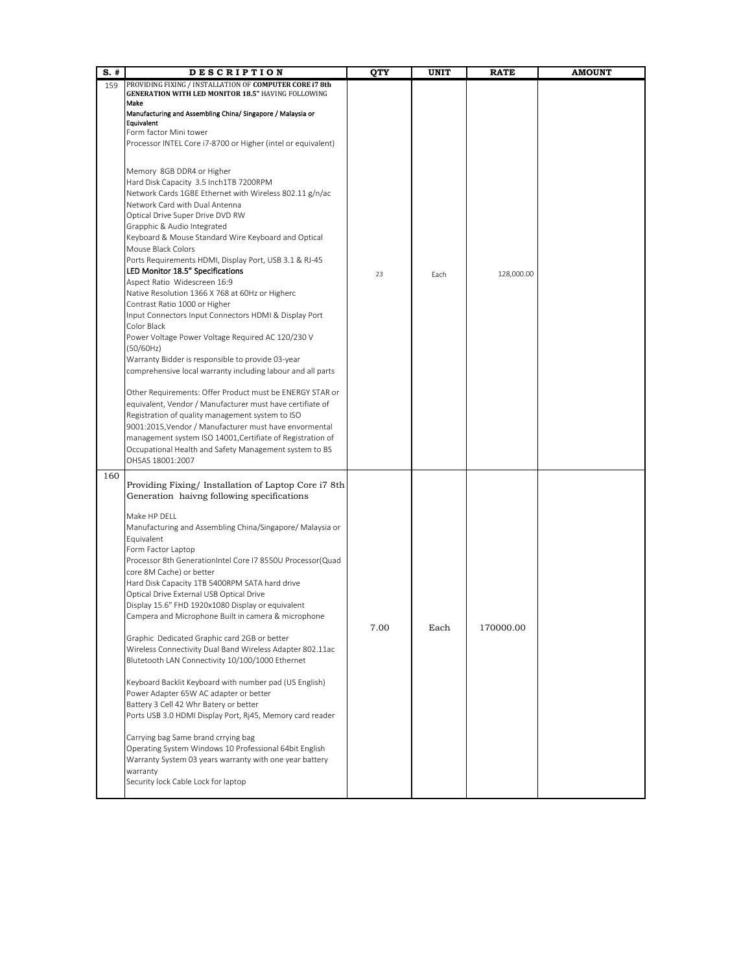| $S.$ # | <b>DESCRIPTION</b>                                                                                                                                                                                                                                                                                                                                                                                                                                                                                                                                                                                                                                                                                                                                                                                                                                                                                                                                                                                                                                                                                                                                                                                                                                                                                                                                                                                                                                                                         | QTY  | UNIT | <b>RATE</b> | <b>AMOUNT</b> |
|--------|--------------------------------------------------------------------------------------------------------------------------------------------------------------------------------------------------------------------------------------------------------------------------------------------------------------------------------------------------------------------------------------------------------------------------------------------------------------------------------------------------------------------------------------------------------------------------------------------------------------------------------------------------------------------------------------------------------------------------------------------------------------------------------------------------------------------------------------------------------------------------------------------------------------------------------------------------------------------------------------------------------------------------------------------------------------------------------------------------------------------------------------------------------------------------------------------------------------------------------------------------------------------------------------------------------------------------------------------------------------------------------------------------------------------------------------------------------------------------------------------|------|------|-------------|---------------|
| 159    | PROVIDING FIXING / INSTALLATION OF COMPUTER CORE i7 8th<br><b>GENERATION WITH LED MONITOR 18.5" HAVING FOLLOWING</b><br>Make<br>Manufacturing and Assembling China/ Singapore / Malaysia or<br>Equivalent<br>Form factor Mini tower<br>Processor INTEL Core i7-8700 or Higher (intel or equivalent)<br>Memory 8GB DDR4 or Higher<br>Hard Disk Capacity 3.5 Inch1TB 7200RPM<br>Network Cards 1GBE Ethernet with Wireless 802.11 g/n/ac<br>Network Card with Dual Antenna<br>Optical Drive Super Drive DVD RW<br>Grapphic & Audio Integrated<br>Keyboard & Mouse Standard Wire Keyboard and Optical<br>Mouse Black Colors<br>Ports Requirements HDMI, Display Port, USB 3.1 & RJ-45<br>LED Monitor 18.5" Specifications<br>Aspect Ratio Widescreen 16:9<br>Native Resolution 1366 X 768 at 60Hz or Higherc<br>Contrast Ratio 1000 or Higher<br>Input Connectors Input Connectors HDMI & Display Port<br>Color Black<br>Power Voltage Power Voltage Required AC 120/230 V<br>(50/60Hz)<br>Warranty Bidder is responsible to provide 03-year<br>comprehensive local warranty including labour and all parts<br>Other Requirements: Offer Product must be ENERGY STAR or<br>equivalent, Vendor / Manufacturer must have certifiate of<br>Registration of quality management system to ISO<br>9001:2015, Vendor / Manufacturer must have envormental<br>management system ISO 14001, Certifiate of Registration of<br>Occupational Health and Safety Management system to BS<br>OHSAS 18001:2007 | 23   | Each | 128,000.00  |               |
| 160    | Providing Fixing/Installation of Laptop Core i7 8th<br>Generation haivng following specifications<br>Make HP DELL<br>Manufacturing and Assembling China/Singapore/ Malaysia or<br>Equivalent<br>Form Factor Laptop<br>Processor 8th GenerationIntel Core I7 8550U Processor(Quad<br>core 8M Cache) or better<br>Hard Disk Capacity 1TB 5400RPM SATA hard drive<br>Optical Drive External USB Optical Drive<br>Display 15.6" FHD 1920x1080 Display or equivalent<br>Campera and Microphone Built in camera & microphone<br>Graphic Dedicated Graphic card 2GB or better<br>Wireless Connectivity Dual Band Wireless Adapter 802.11ac<br>Blutetooth LAN Connectivity 10/100/1000 Ethernet<br>Keyboard Backlit Keyboard with number pad (US English)<br>Power Adapter 65W AC adapter or better<br>Battery 3 Cell 42 Whr Batery or better<br>Ports USB 3.0 HDMI Display Port, Rj45, Memory card reader<br>Carrying bag Same brand crrying bag<br>Operating System Windows 10 Professional 64bit English<br>Warranty System 03 years warranty with one year battery<br>warranty<br>Security lock Cable Lock for laptop                                                                                                                                                                                                                                                                                                                                                                          | 7.00 | Each | 170000.00   |               |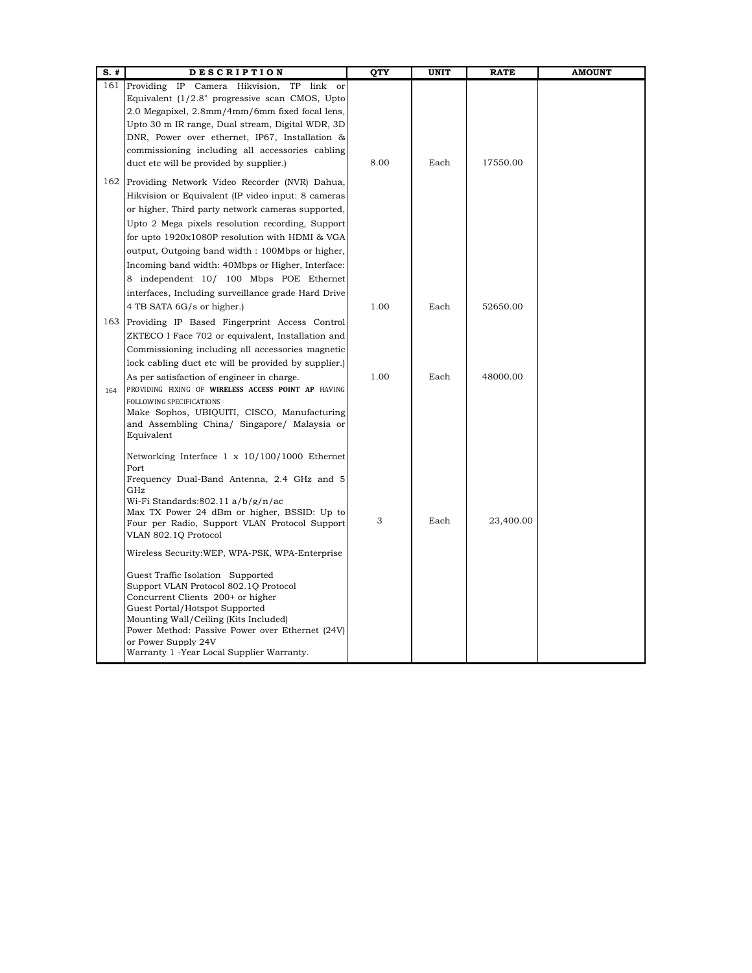| $S.$ # | <b>DESCRIPTION</b>                                                                           | QTY  | <b>UNIT</b> | <b>RATE</b> | <b>AMOUNT</b> |
|--------|----------------------------------------------------------------------------------------------|------|-------------|-------------|---------------|
|        | link<br>161 Providing IP Camera Hikvision,<br>TP<br>$\alpha$ <sup>r</sup>                    |      |             |             |               |
|        | Equivalent (1/2.8" progressive scan CMOS, Upto                                               |      |             |             |               |
|        | 2.0 Megapixel, 2.8mm/4mm/6mm fixed focal lens,                                               |      |             |             |               |
|        | Upto 30 m IR range, Dual stream, Digital WDR, 3D                                             |      |             |             |               |
|        | DNR, Power over ethernet, IP67, Installation &                                               |      |             |             |               |
|        | commissioning including all accessories cabling                                              |      |             |             |               |
|        | duct etc will be provided by supplier.)                                                      | 8.00 | Each        | 17550.00    |               |
|        | 162 Providing Network Video Recorder (NVR) Dahua,                                            |      |             |             |               |
|        | Hikvision or Equivalent (IP video input: 8 cameras                                           |      |             |             |               |
|        | or higher, Third party network cameras supported,                                            |      |             |             |               |
|        | Upto 2 Mega pixels resolution recording, Support                                             |      |             |             |               |
|        | for upto 1920x1080P resolution with HDMI & VGA                                               |      |             |             |               |
|        | output, Outgoing band width: 100Mbps or higher,                                              |      |             |             |               |
|        | Incoming band width: 40Mbps or Higher, Interface:                                            |      |             |             |               |
|        | 8 independent 10/ 100 Mbps POE Ethernet                                                      |      |             |             |               |
|        | interfaces, Including surveillance grade Hard Drive                                          |      |             |             |               |
|        | 4 TB SATA 6G/s or higher.)                                                                   | 1.00 | Each        | 52650.00    |               |
| 163    | Providing IP Based Fingerprint Access Control                                                |      |             |             |               |
|        | ZKTECO I Face 702 or equivalent, Installation and                                            |      |             |             |               |
|        | Commissioning including all accessories magnetic                                             |      |             |             |               |
|        | lock cabling duct etc will be provided by supplier.)                                         |      |             |             |               |
|        | As per satisfaction of engineer in charge.                                                   | 1.00 | Each        | 48000.00    |               |
| 164    | PROVIDING FIXING OF WIRELESS ACCESS POINT AP HAVING                                          |      |             |             |               |
|        | FOLLOWING SPECIFICATIONS                                                                     |      |             |             |               |
|        | Make Sophos, UBIQUITI, CISCO, Manufacturing                                                  |      |             |             |               |
|        | and Assembling China/ Singapore/ Malaysia or                                                 |      |             |             |               |
|        | Equivalent                                                                                   |      |             |             |               |
|        | Networking Interface 1 x 10/100/1000 Ethernet                                                |      |             |             |               |
|        | Port                                                                                         |      |             |             |               |
|        | Frequency Dual-Band Antenna, 2.4 GHz and 5                                                   |      |             |             |               |
|        | GHz                                                                                          |      |             |             |               |
|        | Wi-Fi Standards:802.11 a/b/g/n/ac                                                            |      |             |             |               |
|        | Max TX Power 24 dBm or higher, BSSID: Up to<br>Four per Radio, Support VLAN Protocol Support | 3    | Each        | 23,400.00   |               |
|        | VLAN 802.1Q Protocol                                                                         |      |             |             |               |
|        | Wireless Security:WEP, WPA-PSK, WPA-Enterprise                                               |      |             |             |               |
|        | Guest Traffic Isolation Supported                                                            |      |             |             |               |
|        | Support VLAN Protocol 802.10 Protocol                                                        |      |             |             |               |
|        | Concurrent Clients 200+ or higher                                                            |      |             |             |               |
|        | Guest Portal/Hotspot Supported                                                               |      |             |             |               |
|        | Mounting Wall/Ceiling (Kits Included)                                                        |      |             |             |               |
|        | Power Method: Passive Power over Ethernet (24V)<br>or Power Supply 24V                       |      |             |             |               |
|        | Warranty 1 -Year Local Supplier Warranty.                                                    |      |             |             |               |
|        |                                                                                              |      |             |             |               |